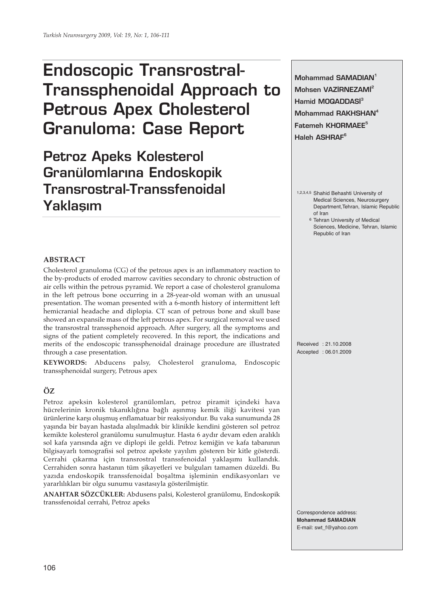# **Endoscopic Transrostral-Transsphenoidal Approach to Petrous Apex Cholesterol Granuloma: Case Report**

**Petroz Apeks Kolesterol Granülomlar›na Endoskopik Transrostral-Transsfenoidal Yaklasım** 

**Mohammad SAMADIAN1 Mohsen VAZİRNEZAMİ<sup>2</sup> Hamid MOQADDASI**<sup>3</sup> **Mohammad RAKHSHAN4 Fatemeh KHORMAEE<sup>5</sup> Haleh ASHRAF6**

- 1,2,3,4,5 Shahid Behashti University of Medical Sciences, Neurosurgery Department,Tehran, Islamic Republic of Iran
	- 6 Tehran University of Medical Sciences, Medicine, Tehran, Islamic Republic of Iran

#### **ABSTRACT**

Cholesterol granuloma (CG) of the petrous apex is an inflammatory reaction to the by-products of eroded marrow cavities secondary to chronic obstruction of air cells within the petrous pyramid. We report a case of cholesterol granuloma in the left petrous bone occurring in a 28-year-old woman with an unusual presentation. The woman presented with a 6-month history of intermittent left hemicranial headache and diplopia. CT scan of petrous bone and skull base showed an expansile mass of the left petrous apex. For surgical removal we used the transrostral transsphenoid approach. After surgery, all the symptoms and signs of the patient completely recovered. In this report, the indications and merits of the endoscopic transsphenoidal drainage procedure are illustrated through a case presentation.

**KEYWORDS:** Abducens palsy, Cholesterol granuloma, Endoscopic transsphenoidal surgery, Petrous apex

## **ÖZ**

Petroz apeksin kolesterol granülomları, petroz piramit içindeki hava hücrelerinin kronik tıkanıklığına bağlı aşınmış kemik iliği kavitesi yan ürünlerine karşı oluşmuş enflamatuar bir reaksiyondur. Bu vaka sunumunda 28 yaşında bir bayan hastada alışılmadık bir klinikle kendini gösteren sol petroz kemikte kolesterol granülomu sunulmuştur. Hasta 6 aydır devam eden aralıklı sol kafa yarısında ağrı ve diplopi ile geldi. Petroz kemiğin ve kafa tabanının bilgisayarlı tomografisi sol petroz apekste yayılım gösteren bir kitle gösterdi. Cerrahi çıkarma için transrostral transsfenoidal yaklaşımı kullandık. Cerrahiden sonra hastanın tüm şikayetleri ve bulguları tamamen düzeldi. Bu yazıda endoskopik transsfenoidal boşaltma işleminin endikasyonları ve yararlılıkları bir olgu sunumu vasıtasıyla gösterilmiştir.

**ANAHTAR SÖZCÜKLER:** Abdusens palsi, Kolesterol granülomu, Endoskopik transsfenoidal cerrahi, Petroz apeks

Received : 21.10.2008 Accepted : 06.01.2009

Correspondence address: **Mohammad SAMADIAN** E-mail: swt\_f@yahoo.com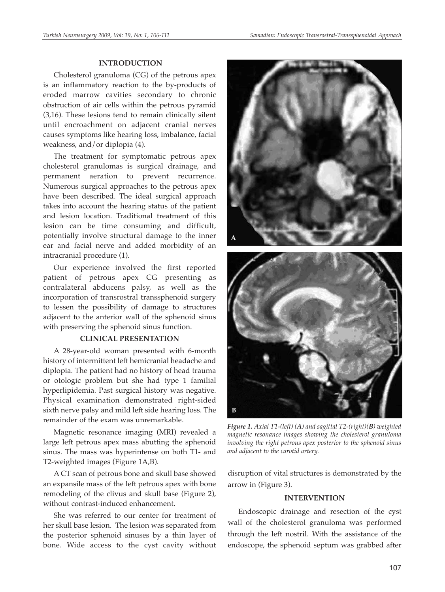#### **INTRODUCTION**

Cholesterol granuloma (CG) of the petrous apex is an inflammatory reaction to the by-products of eroded marrow cavities secondary to chronic obstruction of air cells within the petrous pyramid (3,16). These lesions tend to remain clinically silent until encroachment on adjacent cranial nerves causes symptoms like hearing loss, imbalance, facial weakness, and/or diplopia (4).

The treatment for symptomatic petrous apex cholesterol granulomas is surgical drainage, and permanent aeration to prevent recurrence. Numerous surgical approaches to the petrous apex have been described. The ideal surgical approach takes into account the hearing status of the patient and lesion location. Traditional treatment of this lesion can be time consuming and difficult, potentially involve structural damage to the inner ear and facial nerve and added morbidity of an intracranial procedure (1).

Our experience involved the first reported patient of petrous apex CG presenting as contralateral abducens palsy, as well as the incorporation of transrostral transsphenoid surgery to lessen the possibility of damage to structures adjacent to the anterior wall of the sphenoid sinus with preserving the sphenoid sinus function.

#### **CLINICAL PRESENTATION**

A 28-year-old woman presented with 6-month history of intermittent left hemicranial headache and diplopia. The patient had no history of head trauma or otologic problem but she had type 1 familial hyperlipidemia. Past surgical history was negative. Physical examination demonstrated right-sided sixth nerve palsy and mild left side hearing loss. The remainder of the exam was unremarkable.

Magnetic resonance imaging (MRI) revealed a large left petrous apex mass abutting the sphenoid sinus. The mass was hyperintense on both T1- and T2-weighted images (Figure 1A,B).

A CT scan of petrous bone and skull base showed an expansile mass of the left petrous apex with bone remodeling of the clivus and skull base (Figure 2), without contrast-induced enhancement.

She was referred to our center for treatment of her skull base lesion. The lesion was separated from the posterior sphenoid sinuses by a thin layer of bone. Wide access to the cyst cavity without



*Figure 1. Axial T1-(left) (A) and sagittal T2-(right)(B) weighted magnetic resonance images showing the cholesterol granuloma involving the right petrous apex posterior to the sphenoid sinus and adjacent to the carotid artery.*

disruption of vital structures is demonstrated by the arrow in (Figure 3).

#### **INTERVENTION**

Endoscopic drainage and resection of the cyst wall of the cholesterol granuloma was performed through the left nostril. With the assistance of the endoscope, the sphenoid septum was grabbed after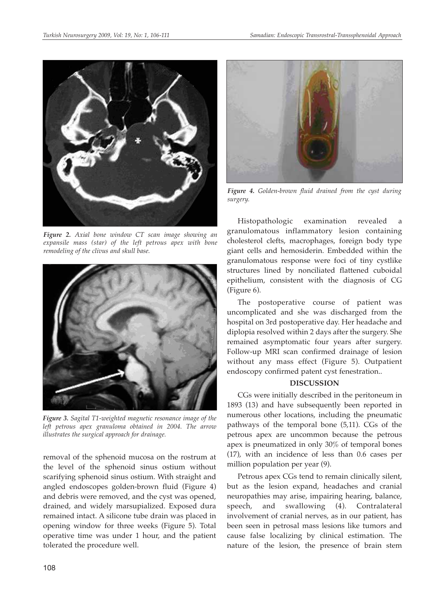

*Figure 2. Axial bone window CT scan image showing an expansile mass (star) of the left petrous apex with bone remodeling of the clivus and skull base.*



*Figure 3. Sagital T1-weighted magnetic resonance image of the left petrous apex granuloma obtained in 2004. The arrow illustrates the surgical approach for drainage.*

removal of the sphenoid mucosa on the rostrum at the level of the sphenoid sinus ostium without scarifying sphenoid sinus ostium. With straight and angled endoscopes golden-brown fluid (Figure 4) and debris were removed, and the cyst was opened, drained, and widely marsupialized. Exposed dura remained intact. A silicone tube drain was placed in opening window for three weeks (Figure 5). Total operative time was under 1 hour, and the patient tolerated the procedure well.



*Figure 4. Golden-brown fluid drained from the cyst during surgery.*

Histopathologic examination revealed granulomatous inflammatory lesion containing cholesterol clefts, macrophages, foreign body type giant cells and hemosiderin. Embedded within the granulomatous response were foci of tiny cystlike structures lined by nonciliated flattened cuboidal epithelium, consistent with the diagnosis of CG (Figure 6).

The postoperative course of patient was uncomplicated and she was discharged from the hospital on 3rd postoperative day. Her headache and diplopia resolved within 2 days after the surgery. She remained asymptomatic four years after surgery. Follow-up MRI scan confirmed drainage of lesion without any mass effect (Figure 5). Outpatient endoscopy confirmed patent cyst fenestration..

### **DISCUSSION**

CGs were initially described in the peritoneum in 1893 (13) and have subsequently been reported in numerous other locations, including the pneumatic pathways of the temporal bone (5,11). CGs of the petrous apex are uncommon because the petrous apex is pneumatized in only 30% of temporal bones (17), with an incidence of less than 0.6 cases per million population per year (9).

Petrous apex CGs tend to remain clinically silent, but as the lesion expand, headaches and cranial neuropathies may arise, impairing hearing, balance, speech, and swallowing (4). Contralateral involvement of cranial nerves, as in our patient, has been seen in petrosal mass lesions like tumors and cause false localizing by clinical estimation. The nature of the lesion, the presence of brain stem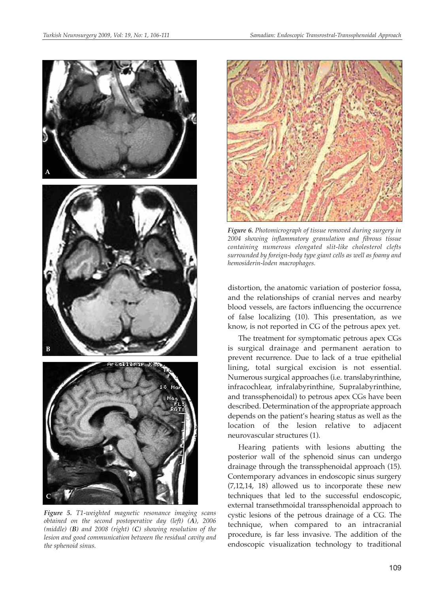

*Figure 5. T1-weighted magnetic resonance imaging scans obtained on the second postoperative day (left) (A), 2006 (middle) (B) and 2008 (right) (C) showing resolution of the lesion and good communication between the residual cavity and the sphenoid sinus.* 



*Figure 6. Photomicrograph of tissue removed during surgery in 2004 showing inflammatory granulation and fibrous tissue containing numerous elongated slit-like cholesterol clefts surrounded by foreign-body type giant cells as well as foamy and hemosiderin-loden macrophages.*

distortion, the anatomic variation of posterior fossa, and the relationships of cranial nerves and nearby blood vessels, are factors influencing the occurrence of false localizing (10). This presentation, as we know, is not reported in CG of the petrous apex yet.

The treatment for symptomatic petrous apex CGs is surgical drainage and permanent aeration to prevent recurrence. Due to lack of a true epithelial lining, total surgical excision is not essential. Numerous surgical approaches (i.e. translabyrinthine, infracochlear, infralabyrinthine, Supralabyrinthine, and transsphenoidal) to petrous apex CGs have been described. Determination of the appropriate approach depends on the patient's hearing status as well as the location of the lesion relative to adjacent neurovascular structures (1).

Hearing patients with lesions abutting the posterior wall of the sphenoid sinus can undergo drainage through the transsphenoidal approach (15). Contemporary advances in endoscopic sinus surgery (7,12,14, 18) allowed us to incorporate these new techniques that led to the successful endoscopic, external transethmoidal transsphenoidal approach to cystic lesions of the petrous drainage of a CG. The technique, when compared to an intracranial procedure, is far less invasive. The addition of the endoscopic visualization technology to traditional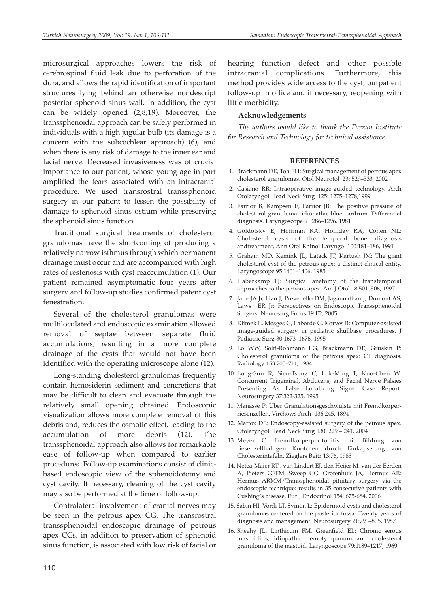microsurgical approaches lowers the risk of cerebrospinal fluid leak due to perforation of the dura, and allows the rapid identification of important structures lying behind an otherwise nondescript posterior sphenoid sinus wall, In addition, the cyst can be widely opened (2,8,19). Moreover, the transsphenoidal approach can be safely performed in individuals with a high jugular bulb (its damage is a concern with the subcochlear approach) (6), and when there is any risk of damage to the inner ear and facial nerve. Decreased invasiveness was of crucial importance to our patient, whose young age in part amplified the fears associated with an intracranial procedure. We used transrostral transsphenoid surgery in our patient to lessen the possibility of damage to sphenoid sinus ostium while preserving the sphenoid sinus function.

Traditional surgical treatments of cholesterol granulomas have the shortcoming of producing a relatively narrow isthmus through which permanent drainage must occur and are accompanied with high rates of restenosis with cyst reaccumulation (1). Our patient remained asymptomatic four years after surgery and follow-up studies confirmed patent cyst fenestration.

Several of the cholesterol granulomas were multiloculated and endoscopic examination allowed removal of septae between separate fluid accumulations, resulting in a more complete drainage of the cysts that would not have been identified with the operating microscope alone (12).

Long-standing cholesterol granulomas frequently contain hemosiderin sediment and concretions that may be difficult to clean and evacuate through the relatively small opening obtained. Endoscopic visualization allows more complete removal of this debris and, reduces the osmotic effect, leading to the accumulation of more debris (12). The transsphenoidal approach also allows for remarkable ease of follow-up when compared to earlier procedures. Follow-up examinations consist of clinicbased endoscopic view of the sphenoidotomy and cyst cavity. If necessary, cleaning of the cyst cavity may also be performed at the time of follow-up.

Contralateral involvement of cranial nerves may be seen in the petrous apex CG. The transrostral transsphenoidal endoscopic drainage of petrous apex CGs, in addition to preservation of sphenoid sinus function, is associated with low risk of facial or

hearing function defect and other possible intracranial complications. Furthermore, this method provides wide access to the cyst, outpatient follow-up in office and if necessary, reopening with little morbidity.

#### **Acknowledgements**

*The authors would like to thank the Farzan Institute for Research and Technology for technical assistance.*

#### **REFERENCES**

- 1. Brackmann DE, Toh EH: Surgical management of petrous apex cholesterol granulomas. Otol Neurotol 23: 529–533, 2002
- 2. Casiano RR: Intraoperative image-guided technology. Arch Otolaryngol Head Neck Surg 125: 1275–1278,1999
- 3. Farrior B, Kampsen E, Farrior JB: The positive pressure of cholesterol granuloma idiopathic blue eardrum. Differential diagnosis. Laryngoscope 91:286–1296, 1981
- 4. Goldofsky E, Hoffman RA, Holliday RA, Cohen NL: Cholesterol cysts of the temporal bone: diagnosis andtreatment, Ann Otol Rhinol Laryngol 100:181–186, 1991
- 5. Graham MD, Kemink JL, Latack JT, Kartush JM: The giant cholesterol cyst of the petrous apex: a distinct clinical entity. Laryngoscope 95:1401–1406, 1985
- 6. Haberkamp TJ: Surgical anatomy of the transtemporal approaches to the petrous apex. Am J Otol 18:501–506, 1997
- 7. Jane JA Jr, Han J, Prevedello DM, Jagannathan J, Dumont AS, Laws ER Jr: Perspectives on Endoscopic Transsphenoidal Surgery. Neurosurg Focus 19:E2, 2005
- 8. Klimek L, Mosges G, Laborde G, Korves B: Computer-assisted image-guided surgery in pediatric skullbase procedures. J Pediatric Surg 30:1673–1676, 1995
- 9. Lo WW, Solti-Bohmann LG, Brackmann DE, Gruskin P: Cholesterol granuloma of the petrous apex: CT diagnosis. Radiology 153:705–711, 1984
- 10. Long-Sun R, Sien-Tsong C, Lok-Ming T, Kuo-Chen W: Concurrent Trigeminal, Abducens, and Facial Nerve Palsies Presenting As False Localizing Signs: Case Report. Neurosurgery 37:322-325, 1995
- 11. Manasse P: Uber Granulationsgeschwulste mit Fremdkorperriesenzellen. Virchows Arch 136:245, 1894
- 12. Mattox DE: Endoscopy-assisted surgery of the petrous apex. Otolaryngol Head Neck Surg 130: 229 – 241, 2004
- 13. Meyer C: Fremdkorperperitonitis mit Bildung von riesenzellhaltigen Knotchen durch Einkapselung von Cholesterintafeln. Zieglers Beitr 13:76, 1983
- 14. Netea-Maier RT , van Lindert EJ, den Heijer M, van der Eerden A, Pieters GFFM, Sweep CG, Grotenhuis JA, Hermus AR: Hermus ARMM/Transsphenoidal pituitary surgery via the endoscopic technique: results in 35 consecutive patients with Cushing's disease. Eur J Endocrinol 154: 675-684, 2006
- 15. Sabin HI, Vordi LT, Symon L: Epidermoid cysts and cholesterol granulomas centered on the posterior fossa: Twenty years of diagnosis and management. Neurosurgery 21:793–805, 1987
- 16. Sheehy JL, Linthicum FM, Greenfield EL: Chronic serous mastoiditis, idiopathic hemotympanum and cholesterol granuloma of the mastoid. Laryngoscope 79:1189–1217, 1969